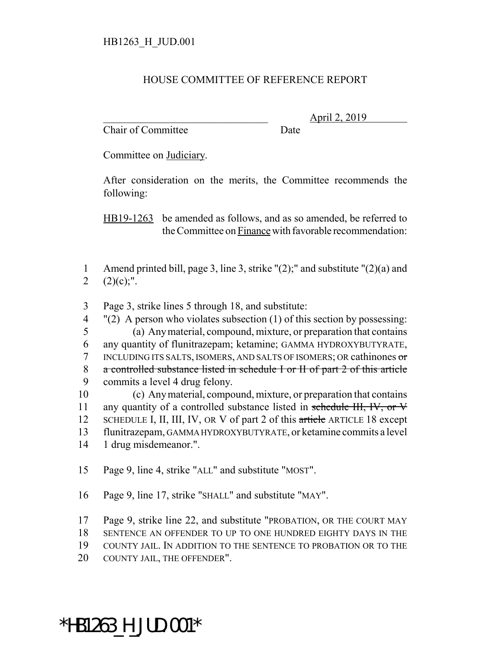## HOUSE COMMITTEE OF REFERENCE REPORT

Chair of Committee Date

\_\_\_\_\_\_\_\_\_\_\_\_\_\_\_\_\_\_\_\_\_\_\_\_\_\_\_\_\_\_\_ April 2, 2019

Committee on Judiciary.

After consideration on the merits, the Committee recommends the following:

HB19-1263 be amended as follows, and as so amended, be referred to the Committee on Finance with favorable recommendation:

- 1 Amend printed bill, page 3, line 3, strike "(2);" and substitute "(2)(a) and 2  $(2)(c)$ ;".
- 3 Page 3, strike lines 5 through 18, and substitute:
- 4 "(2) A person who violates subsection (1) of this section by possessing:
- 5 (a) Any material, compound, mixture, or preparation that contains 6 any quantity of flunitrazepam; ketamine; GAMMA HYDROXYBUTYRATE, 7 INCLUDING ITS SALTS, ISOMERS, AND SALTS OF ISOMERS; OR cathinones or 8 a controlled substance listed in schedule I or II of part 2 of this article 9 commits a level 4 drug felony.
- 10 (c) Any material, compound, mixture, or preparation that contains 11 any quantity of a controlled substance listed in schedule III, IV, or V 12 SCHEDULE I, II, III, IV, OR V of part 2 of this article ARTICLE 18 except 13 flunitrazepam, GAMMA HYDROXYBUTYRATE, or ketamine commits a level
- 14 1 drug misdemeanor.".
- 15 Page 9, line 4, strike "ALL" and substitute "MOST".
- 16 Page 9, line 17, strike "SHALL" and substitute "MAY".
- 17 Page 9, strike line 22, and substitute "PROBATION, OR THE COURT MAY
- 18 SENTENCE AN OFFENDER TO UP TO ONE HUNDRED EIGHTY DAYS IN THE
- 19 COUNTY JAIL. IN ADDITION TO THE SENTENCE TO PROBATION OR TO THE
- 20 COUNTY JAIL, THE OFFENDER".

## \*HB1263\_H\_JUD.001\*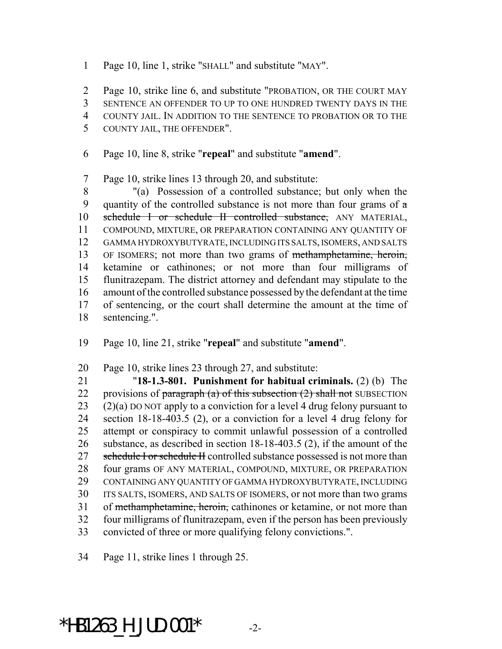Page 10, line 1, strike "SHALL" and substitute "MAY".

 Page 10, strike line 6, and substitute "PROBATION, OR THE COURT MAY SENTENCE AN OFFENDER TO UP TO ONE HUNDRED TWENTY DAYS IN THE COUNTY JAIL. IN ADDITION TO THE SENTENCE TO PROBATION OR TO THE COUNTY JAIL, THE OFFENDER".

Page 10, line 8, strike "**repeal**" and substitute "**amend**".

Page 10, strike lines 13 through 20, and substitute:

 "(a) Possession of a controlled substance; but only when the 9 quantity of the controlled substance is not more than four grams of  $\alpha$ 10 schedule I or schedule II controlled substance, ANY MATERIAL, COMPOUND, MIXTURE, OR PREPARATION CONTAINING ANY QUANTITY OF GAMMA HYDROXYBUTYRATE, INCLUDING ITS SALTS, ISOMERS, AND SALTS OF ISOMERS; not more than two grams of methamphetamine, heroin, ketamine or cathinones; or not more than four milligrams of flunitrazepam. The district attorney and defendant may stipulate to the amount of the controlled substance possessed by the defendant at the time of sentencing, or the court shall determine the amount at the time of sentencing.".

Page 10, line 21, strike "**repeal**" and substitute "**amend**".

Page 10, strike lines 23 through 27, and substitute:

 "**18-1.3-801. Punishment for habitual criminals.** (2) (b) The 22 provisions of paragraph (a) of this subsection  $(2)$  shall not SUBSECTION  $(2)(a)$  DO NOT apply to a conviction for a level 4 drug felony pursuant to section 18-18-403.5 (2), or a conviction for a level 4 drug felony for attempt or conspiracy to commit unlawful possession of a controlled substance, as described in section 18-18-403.5 (2), if the amount of the 27 schedule I or schedule II controlled substance possessed is not more than four grams OF ANY MATERIAL, COMPOUND, MIXTURE, OR PREPARATION CONTAINING ANY QUANTITY OF GAMMA HYDROXYBUTYRATE, INCLUDING ITS SALTS, ISOMERS, AND SALTS OF ISOMERS, or not more than two grams 31 of methamphetamine, heroin, cathinones or ketamine, or not more than four milligrams of flunitrazepam, even if the person has been previously convicted of three or more qualifying felony convictions.".

Page 11, strike lines 1 through 25.

\*HB1263 H JUD.001\*  $-2$ -